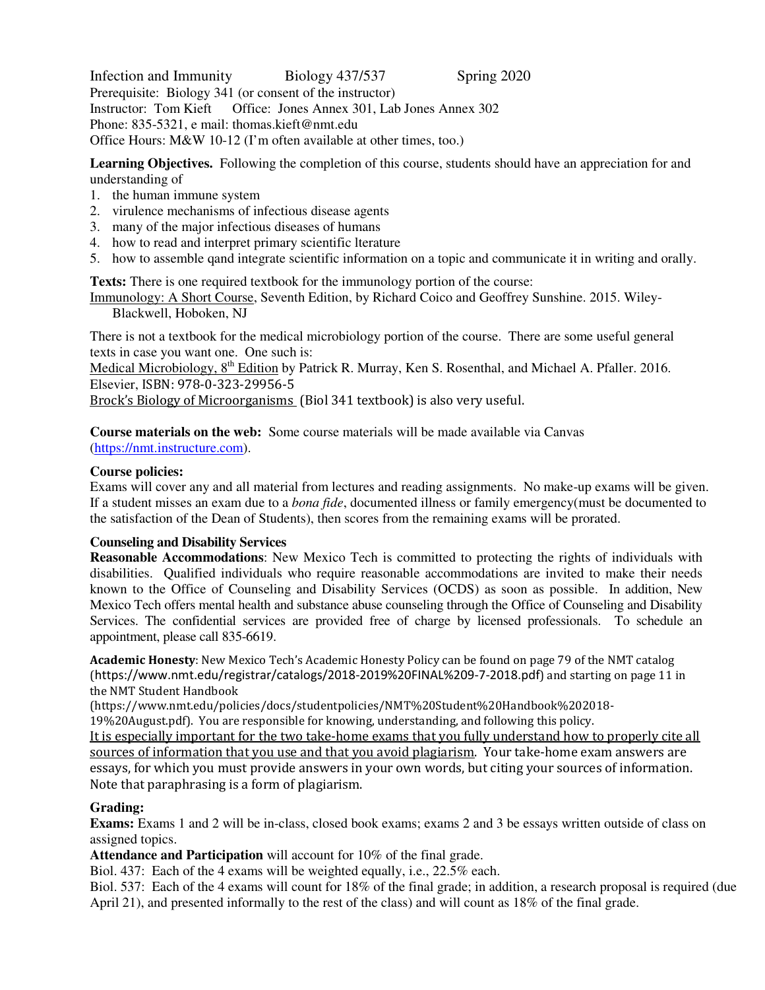Infection and Immunity Biology 437/537 Spring 2020 Prerequisite: Biology 341 (or consent of the instructor)<br>Instructor: Tom Kieft Office: Jones Annex 301. Lab Office: Jones Annex 301, Lab Jones Annex 302 Phone: 835-5321, e mail: thomas.kieft@nmt.edu Office Hours: M&W 10-12 (I'm often available at other times, too.)

**Learning Objectives.** Following the completion of this course, students should have an appreciation for and understanding of

- 1. the human immune system
- 2. virulence mechanisms of infectious disease agents
- 3. many of the major infectious diseases of humans
- 4. how to read and interpret primary scientific lterature
- 5. how to assemble qand integrate scientific information on a topic and communicate it in writing and orally.

**Texts:** There is one required textbook for the immunology portion of the course:

Immunology: A Short Course, Seventh Edition, by Richard Coico and Geoffrey Sunshine. 2015. Wiley-Blackwell, Hoboken, NJ

There is not a textbook for the medical microbiology portion of the course. There are some useful general texts in case you want one. One such is:

Medical Microbiology, 8<sup>th</sup> Edition by Patrick R. Murray, Ken S. Rosenthal, and Michael A. Pfaller. 2016. Elsevier, ISBN: 978-0-323-29956-5

Brock's Biology of Microorganisms (Biol 341 textbook) is also very useful.

**Course materials on the web:** Some course materials will be made available via Canvas

(https://nmt.instructure.com).

## **Course policies:**

Exams will cover any and all material from lectures and reading assignments. No make-up exams will be given. If a student misses an exam due to a *bona fide*, documented illness or family emergency(must be documented to the satisfaction of the Dean of Students), then scores from the remaining exams will be prorated.

## **Counseling and Disability Services**

**Reasonable Accommodations**: New Mexico Tech is committed to protecting the rights of individuals with disabilities. Qualified individuals who require reasonable accommodations are invited to make their needs known to the Office of Counseling and Disability Services (OCDS) as soon as possible. In addition, New Mexico Tech offers mental health and substance abuse counseling through the Office of Counseling and Disability Services. The confidential services are provided free of charge by licensed professionals. To schedule an appointment, please call 835-6619.

**Academic Honesty**: New Mexico Tech's Academic Honesty Policy can be found on page 79 of the NMT catalog (https://www.nmt.edu/registrar/catalogs/2018-2019%20FINAL%209-7-2018.pdf) and starting on page 11 in the NMT Student Handbook

(https://www.nmt.edu/policies/docs/studentpolicies/NMT%20Student%20Handbook%202018-

19%20August.pdf). You are responsible for knowing, understanding, and following this policy.

It is especially important for the two take-home exams that you fully understand how to properly cite all sources of information that you use and that you avoid plagiarism. Your take-home exam answers are essays, for which you must provide answers in your own words, but citing your sources of information. Note that paraphrasing is a form of plagiarism.

## **Grading:**

**Exams:** Exams 1 and 2 will be in-class, closed book exams; exams 2 and 3 be essays written outside of class on assigned topics.

**Attendance and Participation** will account for 10% of the final grade.

Biol. 437: Each of the 4 exams will be weighted equally, i.e., 22.5% each.

Biol. 537: Each of the 4 exams will count for 18% of the final grade; in addition, a research proposal is required (due April 21), and presented informally to the rest of the class) and will count as 18% of the final grade.